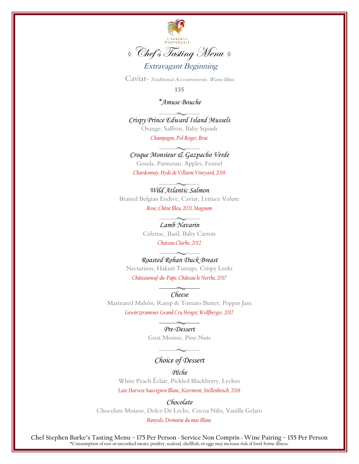

Caviar<sup>~</sup> Traditional Accoutrements, Warm Blini

**135**

### *\*Amuse Bouche*

*Crispy Prince Edward Island Mussels* Orange, Saffron, Baby Squash

*Champagne, Pol Roger, Brut*

#### *Croque Monsieur & Gazpacho Verde*

Gouda, Parmesan, Apples, Fennel

*Chardonnay, Hyde de Villaine Vineyard, 2018*

## *Wild Atlantic Salmon*

Braised Belgian Endive, Caviar, Lettuce Volute *Rose, Chêne Bleu, 2021, Magnum*

#### *Lamb Navarin*

Celeriac, Basil, Baby Carrots

## *Chateau Clarke, 2012*

## *Roasted Rohan Duck Breast*

Nectarines, Hakuri Turnips, Crispy Leeks

*Châteauneuf-du-Pape, Château le Nerthe, 2017*

*Cheese*

Marinated Mahón, Ramp & Tomato Butter, Pepper Jam *Gewürztraminer Grand Cru Hengst, Wolfberger, 2017*

#### *Pre-Dessert*

Goat Mousse, Pine Nuts

# *Choice of Dessert*

*Pêche* White Peach Éclair, Pickled Blackberry, Lychee *Late Harvest Sauvignon Blanc, Keermont, Stellenbosch, 2018*

*Chocolate* Chocolate Mousse, Dolce De Leche, Cocoa Nibs, Vanilla Gelato

*Banyuls, Domaine du mas Blanc*

**Chef Stephen Burke's Tasting Menu – 175 Per Person ~ Service Non Compris ~ Wine Pairing – 155 Per Person** \*Consumption of raw or uncooked meats, poultry, seafood, shellfish, or eggs may increase risk of food-borne illness.